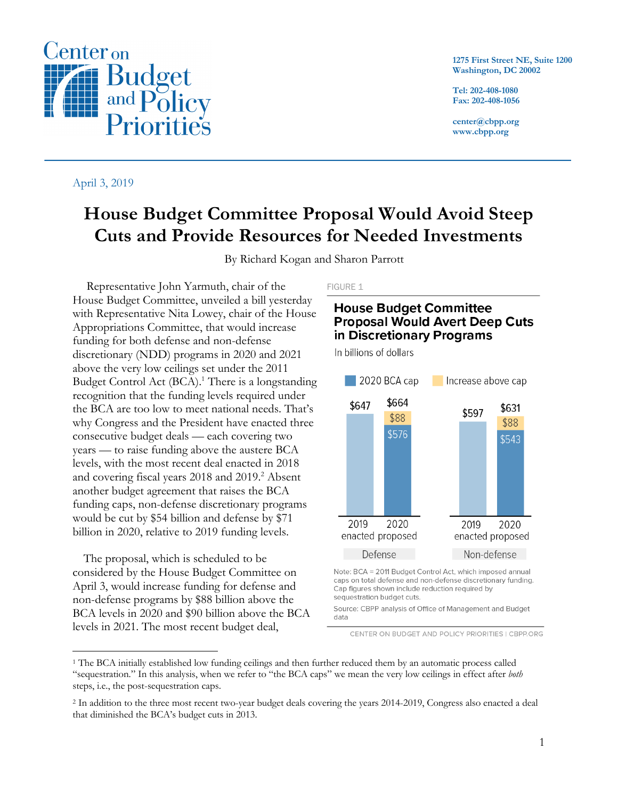**1275 First Street NE, Suite 1200 Washington, DC 20002**

**Tel: 202-408-1080 Fax: 202-408-1056**

**center@cbpp.org www.cbpp.org**

#### April 3, 2019

# **House Budget Committee Proposal Would Avoid Steep Cuts and Provide Resources for Needed Investments**

By Richard Kogan and Sharon Parrott

Representative John Yarmuth, chair of the House Budget Committee, unveiled a bill yesterday with Representative Nita Lowey, chair of the House Appropriations Committee, that would increase funding for both defense and non-defense discretionary (NDD) programs in 2020 and 2021 above the very low ceilings set under the 2011 Budget Control Act  $(BCA)^1$ . There is a longstanding recognition that the funding levels required under the BCA are too low to meet national needs. That's why Congress and the President have enacted three consecutive budget deals — each covering two years — to raise funding above the austere BCA levels, with the most recent deal enacted in 2018 and covering fiscal years 2018 and 2019. <sup>2</sup> Absent another budget agreement that raises the BCA funding caps, non-defense discretionary programs would be cut by \$54 billion and defense by \$71 billion in 2020, relative to 2019 funding levels.

The proposal, which is scheduled to be considered by the House Budget Committee on April 3, would increase funding for defense and non-defense programs by \$88 billion above the BCA levels in 2020 and \$90 billion above the BCA levels in 2021. The most recent budget deal,

#### FIGURE 1

# **House Budget Committee Proposal Would Avert Deep Cuts** in Discretionary Programs

In billions of dollars



Note: BCA = 2011 Budget Control Act, which imposed annual caps on total defense and non-defense discretionary funding. Cap figures shown include reduction required by sequestration budget cuts.

Source: CBPP analysis of Office of Management and Budget data

CENTER ON BUDGET AND POLICY PRIORITIES | CBPP.ORG



<sup>&</sup>lt;sup>1</sup> The BCA initially established low funding ceilings and then further reduced them by an automatic process called "sequestration." In this analysis, when we refer to "the BCA caps" we mean the very low ceilings in effect after *both* steps, i.e., the post-sequestration caps.

<sup>2</sup> In addition to the three most recent two-year budget deals covering the years 2014-2019, Congress also enacted a deal that diminished the BCA's budget cuts in 2013.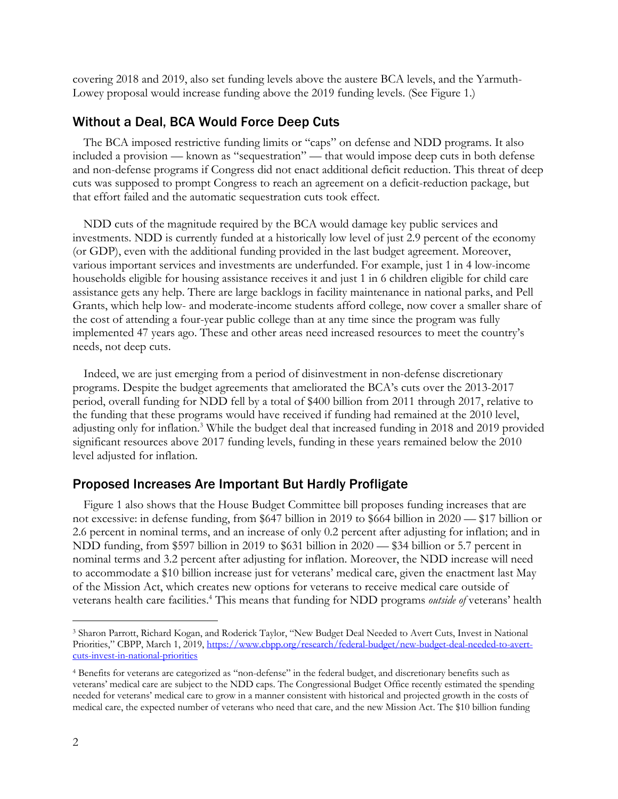covering 2018 and 2019, also set funding levels above the austere BCA levels, and the Yarmuth-Lowey proposal would increase funding above the 2019 funding levels. (See Figure 1.)

### Without a Deal, BCA Would Force Deep Cuts

The BCA imposed restrictive funding limits or "caps" on defense and NDD programs. It also included a provision — known as "sequestration" — that would impose deep cuts in both defense and non-defense programs if Congress did not enact additional deficit reduction. This threat of deep cuts was supposed to prompt Congress to reach an agreement on a deficit-reduction package, but that effort failed and the automatic sequestration cuts took effect.

NDD cuts of the magnitude required by the BCA would damage key public services and investments. NDD is currently funded at a historically low level of just 2.9 percent of the economy (or GDP), even with the additional funding provided in the last budget agreement. Moreover, various important services and investments are underfunded. For example, just 1 in 4 low-income households eligible for housing assistance receives it and just 1 in 6 children eligible for child care assistance gets any help. There are large backlogs in facility maintenance in national parks, and Pell Grants, which help low- and moderate-income students afford college, now cover a smaller share of the cost of attending a four-year public college than at any time since the program was fully implemented 47 years ago. These and other areas need increased resources to meet the country's needs, not deep cuts.

Indeed, we are just emerging from a period of disinvestment in non-defense discretionary programs. Despite the budget agreements that ameliorated the BCA's cuts over the 2013-2017 period, overall funding for NDD fell by a total of \$400 billion from 2011 through 2017, relative to the funding that these programs would have received if funding had remained at the 2010 level, adjusting only for inflation.3 While the budget deal that increased funding in 2018 and 2019 provided significant resources above 2017 funding levels, funding in these years remained below the 2010 level adjusted for inflation.

#### Proposed Increases Are Important But Hardly Profligate

Figure 1 also shows that the House Budget Committee bill proposes funding increases that are not excessive: in defense funding, from \$647 billion in 2019 to \$664 billion in 2020 — \$17 billion or 2.6 percent in nominal terms, and an increase of only 0.2 percent after adjusting for inflation; and in NDD funding, from \$597 billion in 2019 to \$631 billion in 2020 — \$34 billion or 5.7 percent in nominal terms and 3.2 percent after adjusting for inflation. Moreover, the NDD increase will need to accommodate a \$10 billion increase just for veterans' medical care, given the enactment last May of the Mission Act, which creates new options for veterans to receive medical care outside of veterans health care facilities. <sup>4</sup> This means that funding for NDD programs *outside of* veterans' health

 <sup>3</sup> Sharon Parrott, Richard Kogan, and Roderick Taylor, "New Budget Deal Needed to Avert Cuts, Invest in National Priorities," CBPP, March 1, 2019, https://www.cbpp.org/research/federal-budget/new-budget-deal-needed-to-avertcuts-invest-in-national-priorities

<sup>4</sup> Benefits for veterans are categorized as "non-defense" in the federal budget, and discretionary benefits such as veterans' medical care are subject to the NDD caps. The Congressional Budget Office recently estimated the spending needed for veterans' medical care to grow in a manner consistent with historical and projected growth in the costs of medical care, the expected number of veterans who need that care, and the new Mission Act. The \$10 billion funding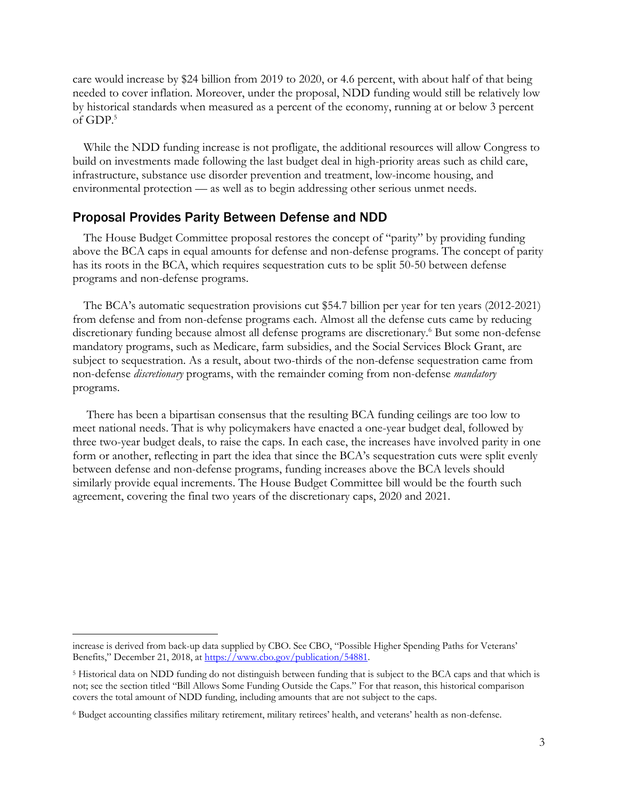care would increase by \$24 billion from 2019 to 2020, or 4.6 percent, with about half of that being needed to cover inflation. Moreover, under the proposal, NDD funding would still be relatively low by historical standards when measured as a percent of the economy, running at or below 3 percent of GDP. 5

While the NDD funding increase is not profligate, the additional resources will allow Congress to build on investments made following the last budget deal in high-priority areas such as child care, infrastructure, substance use disorder prevention and treatment, low-income housing, and environmental protection — as well as to begin addressing other serious unmet needs.

#### Proposal Provides Parity Between Defense and NDD

The House Budget Committee proposal restores the concept of "parity" by providing funding above the BCA caps in equal amounts for defense and non-defense programs. The concept of parity has its roots in the BCA, which requires sequestration cuts to be split 50-50 between defense programs and non-defense programs.

The BCA's automatic sequestration provisions cut \$54.7 billion per year for ten years (2012-2021) from defense and from non-defense programs each. Almost all the defense cuts came by reducing discretionary funding because almost all defense programs are discretionary.<sup>6</sup> But some non-defense mandatory programs, such as Medicare, farm subsidies, and the Social Services Block Grant, are subject to sequestration. As a result, about two-thirds of the non-defense sequestration came from non-defense *discretionary* programs, with the remainder coming from non-defense *mandatory* programs.

There has been a bipartisan consensus that the resulting BCA funding ceilings are too low to meet national needs. That is why policymakers have enacted a one-year budget deal, followed by three two-year budget deals, to raise the caps. In each case, the increases have involved parity in one form or another, reflecting in part the idea that since the BCA's sequestration cuts were split evenly between defense and non-defense programs, funding increases above the BCA levels should similarly provide equal increments. The House Budget Committee bill would be the fourth such agreement, covering the final two years of the discretionary caps, 2020 and 2021.

increase is derived from back-up data supplied by CBO. See CBO, "Possible Higher Spending Paths for Veterans' Benefits," December 21, 2018, at https://www.cbo.gov/publication/54881.

<sup>5</sup> Historical data on NDD funding do not distinguish between funding that is subject to the BCA caps and that which is not; see the section titled "Bill Allows Some Funding Outside the Caps." For that reason, this historical comparison covers the total amount of NDD funding, including amounts that are not subject to the caps.

<sup>6</sup> Budget accounting classifies military retirement, military retirees' health, and veterans' health as non-defense.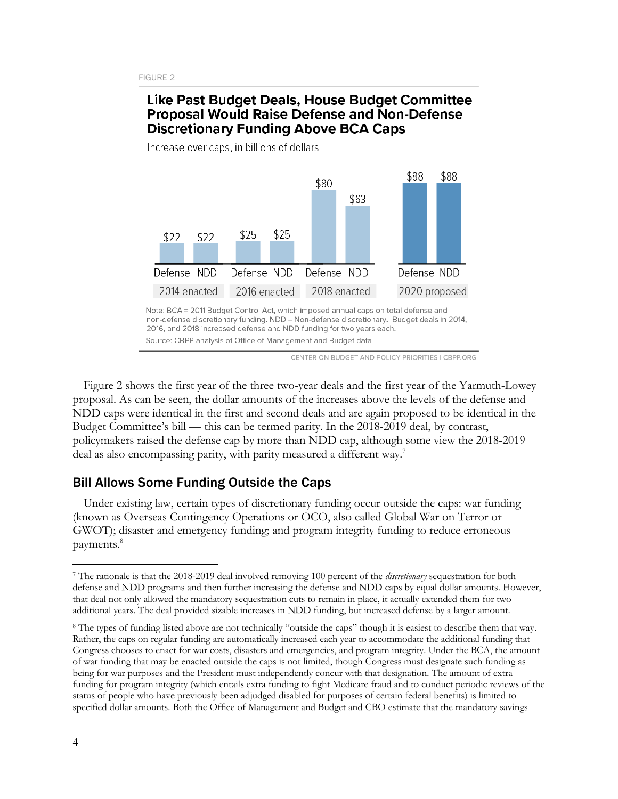# Like Past Budget Deals, House Budget Committee **Proposal Would Raise Defense and Non-Defense Discretionary Funding Above BCA Caps**

\$88 \$88 \$80 \$63 \$25 \$25 \$22 \$22 Defense NDD Defense NDD Defense NDD Defense NDD 2014 enacted 2016 enacted 2018 enacted 2020 proposed

Increase over caps, in billions of dollars

CENTER ON BUDGET AND POLICY PRIORITIES | CBPP.ORG

Figure 2 shows the first year of the three two-year deals and the first year of the Yarmuth-Lowey proposal. As can be seen, the dollar amounts of the increases above the levels of the defense and NDD caps were identical in the first and second deals and are again proposed to be identical in the Budget Committee's bill — this can be termed parity. In the 2018-2019 deal, by contrast, policymakers raised the defense cap by more than NDD cap, although some view the 2018-2019 deal as also encompassing parity, with parity measured a different way.<sup>7</sup>

## Bill Allows Some Funding Outside the Caps

Under existing law, certain types of discretionary funding occur outside the caps: war funding (known as Overseas Contingency Operations or OCO, also called Global War on Terror or GWOT); disaster and emergency funding; and program integrity funding to reduce erroneous payments. 8

Note: BCA = 2011 Budget Control Act, which imposed annual caps on total defense and non-defense discretionary funding. NDD = Non-defense discretionary. Budget deals in 2014, 2016, and 2018 increased defense and NDD funding for two years each. Source: CBPP analysis of Office of Management and Budget data

 <sup>7</sup> The rationale is that the 2018-2019 deal involved removing 100 percent of the *discretionary* sequestration for both defense and NDD programs and then further increasing the defense and NDD caps by equal dollar amounts. However, that deal not only allowed the mandatory sequestration cuts to remain in place, it actually extended them for two additional years. The deal provided sizable increases in NDD funding, but increased defense by a larger amount.

<sup>8</sup> The types of funding listed above are not technically "outside the caps" though it is easiest to describe them that way. Rather, the caps on regular funding are automatically increased each year to accommodate the additional funding that Congress chooses to enact for war costs, disasters and emergencies, and program integrity. Under the BCA, the amount of war funding that may be enacted outside the caps is not limited, though Congress must designate such funding as being for war purposes and the President must independently concur with that designation. The amount of extra funding for program integrity (which entails extra funding to fight Medicare fraud and to conduct periodic reviews of the status of people who have previously been adjudged disabled for purposes of certain federal benefits) is limited to specified dollar amounts. Both the Office of Management and Budget and CBO estimate that the mandatory savings